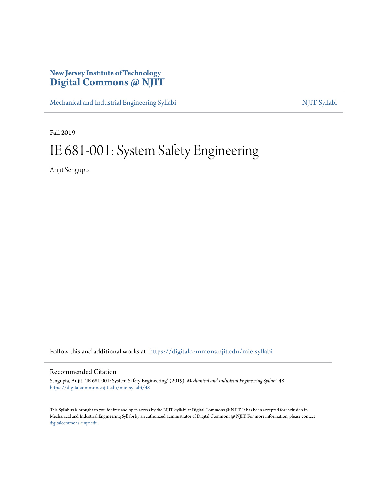## **New Jersey Institute of Technology [Digital Commons @ NJIT](https://digitalcommons.njit.edu/?utm_source=digitalcommons.njit.edu%2Fmie-syllabi%2F48&utm_medium=PDF&utm_campaign=PDFCoverPages)**

[Mechanical and Industrial Engineering Syllabi](https://digitalcommons.njit.edu/mie-syllabi?utm_source=digitalcommons.njit.edu%2Fmie-syllabi%2F48&utm_medium=PDF&utm_campaign=PDFCoverPages) [NJIT Syllabi](https://digitalcommons.njit.edu/syllabi?utm_source=digitalcommons.njit.edu%2Fmie-syllabi%2F48&utm_medium=PDF&utm_campaign=PDFCoverPages) NJIT Syllabi

Fall 2019

# IE 681-001: System Safety Engineering

Arijit Sengupta

Follow this and additional works at: [https://digitalcommons.njit.edu/mie-syllabi](https://digitalcommons.njit.edu/mie-syllabi?utm_source=digitalcommons.njit.edu%2Fmie-syllabi%2F48&utm_medium=PDF&utm_campaign=PDFCoverPages)

#### Recommended Citation

Sengupta, Arijit, "IE 681-001: System Safety Engineering" (2019). *Mechanical and Industrial Engineering Syllabi*. 48. [https://digitalcommons.njit.edu/mie-syllabi/48](https://digitalcommons.njit.edu/mie-syllabi/48?utm_source=digitalcommons.njit.edu%2Fmie-syllabi%2F48&utm_medium=PDF&utm_campaign=PDFCoverPages)

This Syllabus is brought to you for free and open access by the NJIT Syllabi at Digital Commons @ NJIT. It has been accepted for inclusion in Mechanical and Industrial Engineering Syllabi by an authorized administrator of Digital Commons @ NJIT. For more information, please contact [digitalcommons@njit.edu](mailto:digitalcommons@njit.edu).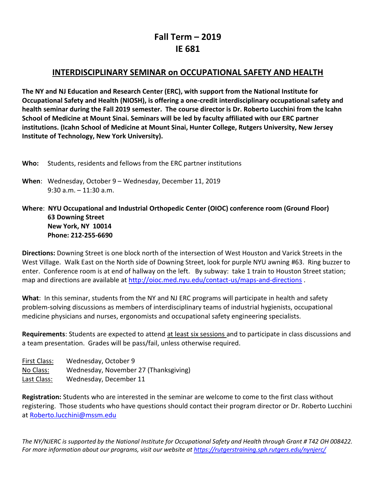## **Fall Term – 2019 IE 681**

## **INTERDISCIPLINARY SEMINAR on OCCUPATIONAL SAFETY AND HEALTH**

**The NY and NJ Education and Research Center (ERC), with support from the National Institute for Occupational Safety and Health (NIOSH), is offering a one-credit interdisciplinary occupational safety and health seminar during the Fall 2019 semester. The course director is Dr. Roberto Lucchini from the Icahn School of Medicine at Mount Sinai. Seminars will be led by faculty affiliated with our ERC partner institutions. (Icahn School of Medicine at Mount Sinai, Hunter College, Rutgers University, New Jersey Institute of Technology, New York University).**

- **Who:** Students, residents and fellows from the ERC partner institutions
- **When**: Wednesday, October 9 Wednesday, December 11, 2019 9:30 a.m. – 11:30 a.m.

### **Where**: **NYU Occupational and Industrial Orthopedic Center (OIOC) conference room (Ground Floor) 63 Downing Street New York, NY 10014 Phone: 212-255-6690**

**Directions:** Downing Street is one block north of the intersection of West Houston and Varick Streets in the West Village. Walk East on the North side of Downing Street, look for purple NYU awning #63. Ring buzzer to enter. Conference room is at end of hallway on the left. By subway: take 1 train to Houston Street station; map and directions are available at<http://oioc.med.nyu.edu/contact-us/maps-and-directions> .

**What**: In this seminar, students from the NY and NJ ERC programs will participate in health and safety problem-solving discussions as members of interdisciplinary teams of industrial hygienists, occupational medicine physicians and nurses, ergonomists and occupational safety engineering specialists.

**Requirements**: Students are expected to attend at least six sessions and to participate in class discussions and a team presentation. Grades will be pass/fail, unless otherwise required.

| First Class: | Wednesday, October 9                  |
|--------------|---------------------------------------|
| No Class:    | Wednesday, November 27 (Thanksgiving) |
| Last Class:  | Wednesday, December 11                |

**Registration:** Students who are interested in the seminar are welcome to come to the first class without registering. Those students who have questions should contact their program director or Dr. Roberto Lucchini at [Roberto.lucchini@mssm.edu](mailto:Roberto.lucchini@mssm.edu)

*The NY/NJERC is supported by the National Institute for Occupational Safety and Health through Grant # T42 OH 008422. For more information about our programs, visit our website a[t https://rutgerstraining.sph.rutgers.edu/nynjerc/](https://rutgerstraining.sph.rutgers.edu/nynjerc/)*